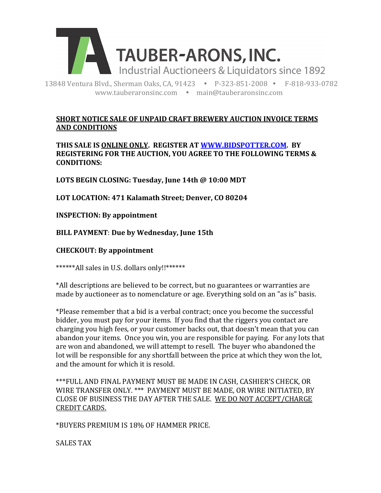

13848 Ventura Blvd., Sherman Oaks, CA, 91423 . P-323-851-2008 · F-818-933-0782 www.tauberaronsinc.com · main@tauberaronsinc.com

# **SHORT NOTICE SALE OF UNPAID CRAFT BREWERY AUCTION INVOICE TERMS AND CONDITIONS**

THIS SALE IS ONLINE ONLY. REGISTER AT WWW.BIDSPOTTER.COM. BY **REGISTERING FOR THE AUCTION, YOU AGREE TO THE FOLLOWING TERMS & CONDITIONS:**

LOTS BEGIN CLOSING: Tuesday, June 14th @ 10:00 MDT

LOT LOCATION: 471 Kalamath Street; Denver, CO 80204

# **INSPECTION: By appointment**

**BILL PAYMENT**: **Due by Wednesday, June 15th**

### **CHECKOUT: By appointment**

\*\*\*\*\*\*All sales in U.S. dollars only!!\*\*\*\*\*\*

\*All descriptions are believed to be correct, but no guarantees or warranties are made by auctioneer as to nomenclature or age. Everything sold on an "as is" basis.

\*Please remember that a bid is a verbal contract; once you become the successful bidder, you must pay for your items. If you find that the riggers you contact are charging you high fees, or your customer backs out, that doesn't mean that you can abandon your items. Once you win, you are responsible for paying. For any lots that are won and abandoned, we will attempt to resell. The buyer who abandoned the lot will be responsible for any shortfall between the price at which they won the lot, and the amount for which it is resold.

\*\*\*FULL AND FINAL PAYMENT MUST BE MADE IN CASH, CASHIER'S CHECK, OR WIRE TRANSFER ONLY. \*\*\* PAYMENT MUST BE MADE, OR WIRE INITIATED, BY CLOSE OF BUSINESS THE DAY AFTER THE SALE. WE DO NOT ACCEPT/CHARGE **CREDIT CARDS.** 

\*BUYERS PREMIUM IS 18% OF HAMMER PRICE.

SALES TAX